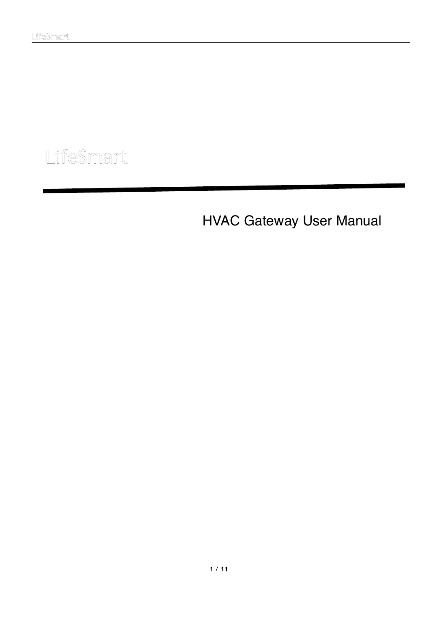ł

# LifeSmart

HVAC Gateway User Manual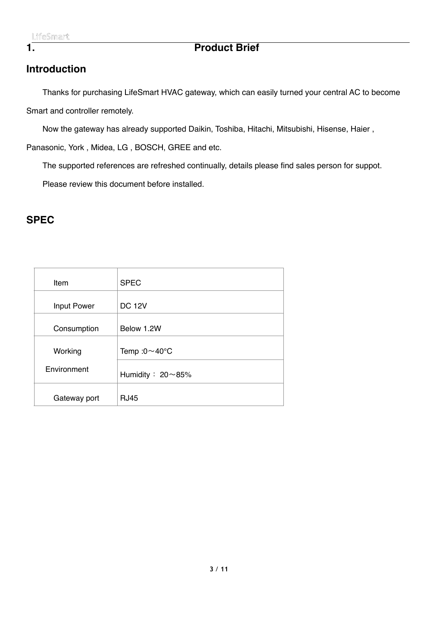## <span id="page-2-0"></span>**1. Product Brief**

## <span id="page-2-1"></span>**Introduction**

Thanks for purchasing LifeSmart HVAC gateway, which can easily turned your central AC to become Smart and controller remotely.

Now the gateway has already supported Daikin, Toshiba, Hitachi, Mitsubishi, Hisense, Haier ,

Panasonic, York , Midea, LG , BOSCH, GREE and etc.

The supported references are refreshed continually, details please find sales person for suppot.

Please review this document before installed.

## <span id="page-2-2"></span>**SPEC**

| Item               | <b>SPEC</b>                 |
|--------------------|-----------------------------|
| <b>Input Power</b> | <b>DC 12V</b>               |
| Consumption        | Below 1.2W                  |
| Working            | Temp: $0 \sim 40^{\circ}$ C |
| Environment        | Humidity: $20 \sim 85\%$    |
| Gateway port       | <b>RJ45</b>                 |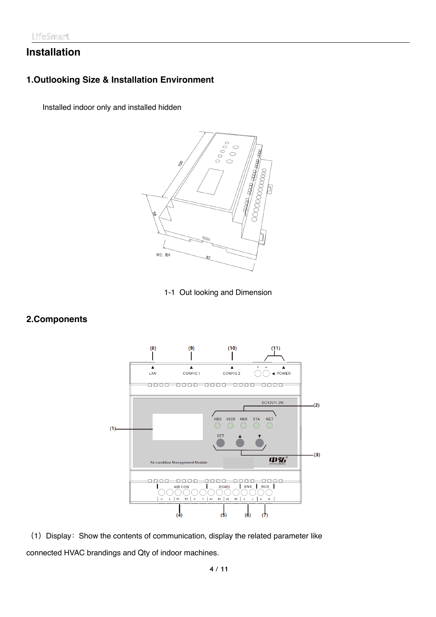## <span id="page-3-0"></span>**Installation**

#### <span id="page-3-1"></span>**1.Outlooking Size & Installation Environment**

Installed indoor only and installed hidden



1-1 Out looking and Dimension

#### <span id="page-3-2"></span>**2.Components**



(1) Display: Show the contents of communication, display the related parameter like connected HVAC brandings and Qty of indoor machines.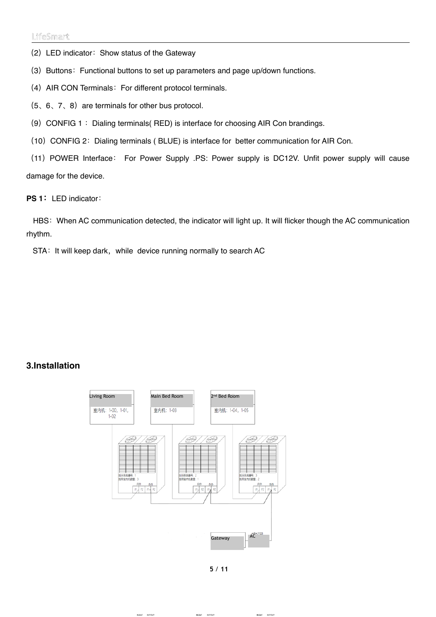(2) LED indicator: Show status of the Gateway

(3) Buttons: Functional buttons to set up parameters and page up/down functions.

(4) AIR CON Terminals: For different protocol terminals.

 $(5, 6, 7, 8)$  are terminals for other bus protocol.

(9) CONFIG 1 : Dialing terminals (RED) is interface for choosing AIR Con brandings.

(10) CONFIG 2: Dialing terminals ( BLUE) is interface for better communication for AIR Con.

(11)POWER Interface: For Power Supply .PS: Power supply is DC12V. Unfit power supply will cause damage for the device.

**PS 1:**LED indicator:

HBS: When AC communication detected, the indicator will light up. It will flicker though the AC communication rhythm.

STA: It will keep dark, while device running normally to search AC

#### <span id="page-4-0"></span>**3.Installation**



**5** / **11**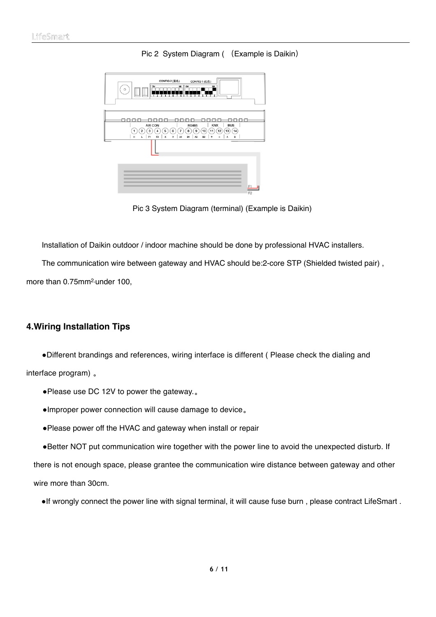

Pic 2 System Diagram ( (Example is Daikin)

Pic 3 System Diagram (terminal) (Example is Daikin)

Installation of Daikin outdoor / indoor machine should be done by professional HVAC installers.

The communication wire between gateway and HVAC should be:2-core STP (Shielded twisted pair) ,

more than 0.75mm<sup>2,</sup> under 100,

#### <span id="page-5-0"></span>**4.Wiring Installation Tips**

 #Different brandings and references, wiring interface is different ( Please check the dialing and interface program) 。

- Please use DC 12V to power the gateway..
- #Improper power connection will cause damage to device。
- #Please power off the HVAC and gateway when install or repair

. Better NOT put communication wire together with the power line to avoid the unexpected disturb. If there is not enough space, please grantee the communication wire distance between gateway and other wire more than 30cm.

• If wrongly connect the power line with signal terminal, it will cause fuse burn, please contract LifeSmart.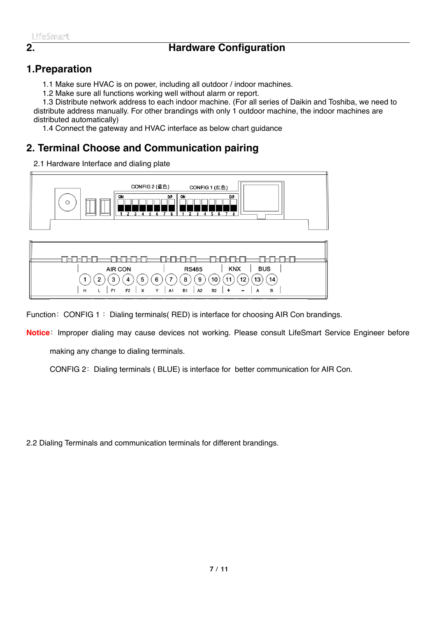## **2. Hardware Configuration**

## <span id="page-6-1"></span>**1.Preparation**

<span id="page-6-0"></span>1.1 Make sure HVAC is on power, including all outdoor / indoor machines.

1.2 Make sure all functions working well without alarm or report.

1.3 Distribute network address to each indoor machine. (For all series of Daikin and Toshiba, we need to distribute address manually. For other brandings with only 1 outdoor machine, the indoor machines are distributed automatically)

1.4 Connect the gateway and HVAC interface as below chart guidance

## <span id="page-6-2"></span>**2. Terminal Choose and Communication pairing**

2.1 Hardware Interface and dialing plate

 $1$ 

 $H$ 

 $2)$  $(3)$  $(4)$  $(5)$ 

 $L$   $F1$ 

F<sub>2</sub>  $\mathbf{x}$ 



 $(7)$ 

 $6)$ 

Y **A1** 

Function: CONFIG 1: Dialing terminals( RED) is interface for choosing AIR Con brandings.

8)  $(9)$ 

**B1** 

 $\vert$  A2

**Notice**:Improper dialing may cause devices not working. Please consult LifeSmart Service Engineer before

 $(10)$ 

**B2**  $\overline{1}$ 

 $(11)$  $(12)$   $(14)$ 

 $(13)$ 

 $\boldsymbol{\mathsf{A}}$ B

making any change to dialing terminals.

CONFIG 2: Dialing terminals ( BLUE) is interface for better communication for AIR Con.

2.2 Dialing Terminals and communication terminals for different brandings.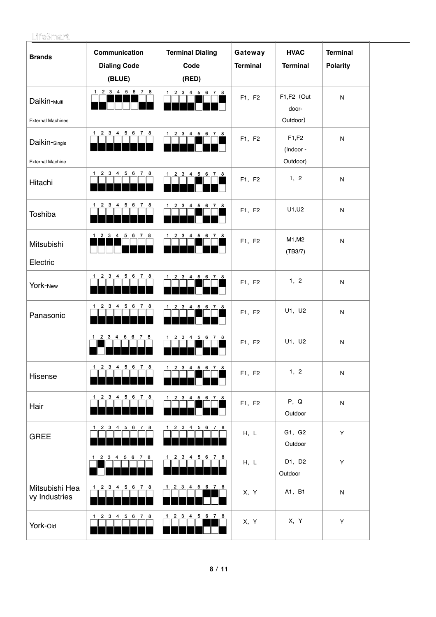| <b>Brands</b>                                        | Communication<br><b>Dialing Code</b><br>(BLUE)     | <b>Terminal Dialing</b><br>Code<br>(RED)                   | Gateway<br><b>Terminal</b> | <b>HVAC</b><br><b>Terminal</b>  | <b>Terminal</b><br><b>Polarity</b> |  |
|------------------------------------------------------|----------------------------------------------------|------------------------------------------------------------|----------------------------|---------------------------------|------------------------------------|--|
| Daikin- <sub>Multi</sub><br><b>External Machines</b> | 1 2 3 4 5 6 7 8                                    | 1 2 3 4 5 6 7 8                                            | F1, F2                     | F1,F2 (Out<br>door-<br>Outdoor) | ${\sf N}$                          |  |
| Daikin-Single<br><b>External Machine</b>             | 1 2 3 4 5 6 7 8                                    | 1 2 3 4 5 6 7 8                                            | F1, F2                     | F1,F2<br>(Indoor -<br>Outdoor)  | ${\sf N}$                          |  |
| Hitachi                                              | 1 2 3 4 5 6 7 8                                    | 1 2 3 4 5 6 7 8                                            | F1, F2                     | 1, 2                            | ${\sf N}$                          |  |
| Toshiba                                              | $1 \t2 \t3 \t4$<br>5 6<br>78                       | 2 3 4 5 6 7 8<br>$\mathbf 1$                               | F1, F2                     | U1, U2                          | ${\sf N}$                          |  |
| Mitsubishi<br>Electric                               | 1 2 3 4 5 6<br>78                                  | $\mathbf 1$<br>2 3 4<br>5 6 7 8                            | F1, F2                     | M1, M2<br>(TB3/7)               | ${\sf N}$                          |  |
| York-New                                             | 1 2 3 4<br>5 6 7 8                                 | 1 2 3 4 5 6 7 8                                            | F1, F2                     | 1, 2                            | ${\sf N}$                          |  |
| Panasonic                                            | 5 6<br>$1 \quad 2 \quad 3$<br>$\overline{4}$<br>78 | 1 2 3 4 5 6 7 8                                            | F1, F2                     | U1, U2                          | ${\sf N}$                          |  |
|                                                      | 1 2 3 4 5 6 7 8                                    | 2 3<br>$\overline{4}$<br>5 6 7 8<br>1                      | F1, F2                     | U1, U2                          | ${\sf N}$                          |  |
| Hisense                                              | $1 \quad 2 \quad 3 \quad 4$<br>5 6 7 8             | 1 2 3 4 5 6 7 8                                            | F1, F2                     | 1, 2                            | ${\sf N}$                          |  |
| Hair                                                 | 1 2 3 4 5 6 7 8                                    | 1 2 3 4 5 6 7 8                                            | F1, F2                     | P, Q<br>Outdoor                 | ${\sf N}$                          |  |
| <b>GREE</b>                                          | 1 2 3 4 5 6 7 8                                    | $1 \quad 2 \quad 3 \quad 4$<br>5 6 7 8                     | H, L                       | G1, G2<br>Outdoor               | Y                                  |  |
|                                                      | 1 2 3 4 5 6<br>78                                  | $1 \quad 2 \quad 3 \quad 4$<br>5 6<br>78                   | H, L                       | D1, D2<br>Outdoor               | Y                                  |  |
| Mitsubishi Hea<br>vy Industries                      | 1 2 3 4 5 6 7 8                                    | 1 2 3 4 5 6 7 8                                            | X, Y                       | A1, B1                          | ${\sf N}$                          |  |
| York-Old                                             | 1 2 3 4 5 6 7 8                                    | $1 \quad 2 \quad 3 \quad 4$<br>$5 \quad 6 \quad 7 \quad 8$ | X, Y                       | X, Y                            | Υ                                  |  |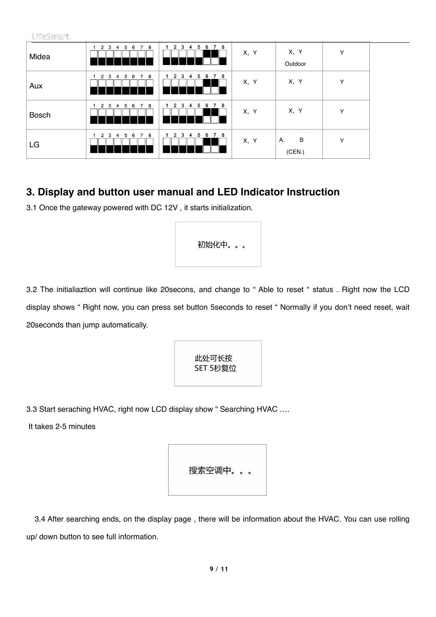| LifeSmart    |                                                                |                                              |      |                   |   |  |
|--------------|----------------------------------------------------------------|----------------------------------------------|------|-------------------|---|--|
| Midea        | 8<br>$\overline{7}$<br>$\overline{2}$<br>3<br>5<br>6<br>4      | 8<br>2<br>6<br>3<br>5<br>4                   | X, Y | X, Y<br>Outdoor   | Y |  |
| Aux          | 8<br>$\overline{2}$<br>$\overline{7}$<br>3<br>5<br>6<br>1<br>4 | 8<br>6<br>2<br>3<br>5<br>$\overline{7}$<br>4 | X, Y | X, Y              | Y |  |
| <b>Bosch</b> | 8<br>2<br>3<br>5<br>$\overline{7}$<br>1<br>6<br>4              | 7 8<br>2<br>3<br>6<br>5<br>-4                | X, Y | X, Y              | Y |  |
| LG           | 7 8<br>5<br>$\overline{2}$<br>3<br>- 6<br>4                    | 7 8<br>3<br>6<br>2<br>5<br>-4                | X, Y | B<br>Α.<br>(CEN.) | Y |  |

## <span id="page-8-0"></span>**3. Display and button user manual and LED Indicator Instruction**

3.1 Once the gateway powered with DC 12V , it starts i[nitialization](http://www.baidu.com/link?url=QDXwoPWhOn6CuA_BIkGeWaRhOeMaAiQhxXL26dSgGvQDM6I6GfG9OieEYyo_gCKuj0c2_jiPO90c0VuNVrI0mMga5A37IZ5Gvv6k5p-esxxu_iP0OqFGZutWVuY0yJC2).



3.2 The initialiaztion will continue like 20secons, and change to " Able to reset " status . Right now the LCD display shows " Right now, you can press set button 5seconds to reset " Normally if you don't need reset, wait 20seconds than jump automatically.

> 此处可长按 SET 5秒复位

3.3 Start seraching HVAC, right now LCD display show " Searching HVAC ….

It takes 2-5 minutes

搜索空调中。。。

 3.4 After searching ends, on the display page , there will be information about the HVAC. You can use rolling up/ down button to see full information.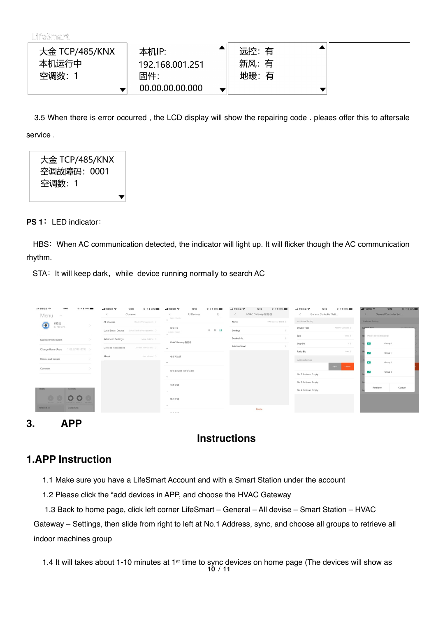| 大金 TCP/485/KNX | 本机IP:                  | 远控: 有 |
|----------------|------------------------|-------|
| 本机运行中          | 192.168.001.251        | 新风:有  |
| 空调数: 1         | 固件:<br>00.00.00.00.000 | 地暖: 有 |

 3.5 When there is error occurred , the LCD display will show the repairing code . pleaes offer this to aftersale service .

大金 TCP/485/KNX 空调故障码: 0001 空调数: 1

**PS 1:**LED indicator:

HBS: When AC communication detected, the indicator will light up. It will flicker though the AC communication rhythm.

STA: It will keep dark, while device running normally to search AC

 $\overline{\phantom{a}}$ 

| ml中国电信 <b>空</b><br>12:09<br><b>◎ イネ 99%</b><br>Menu<br>$\wedge$ | mi 中国电信 学<br>12:09<br>Common                   | 中国电信 学<br>12:10<br>$Q = 4$ $\pm$ 99%<br>K<br>All Devices<br>$\sim$ | ad 中国电信 学<br>12:10<br>◎ イネ 99%<br>< HVAC Gateway 智控器 | 12:10<br>all 中国电信 专<br>◎ イネ 99%<br>General Controller Sett<br>$\langle$ | 97398<br>ml中国电信 学<br>12:10<br>< General Controller Sett |
|-----------------------------------------------------------------|------------------------------------------------|--------------------------------------------------------------------|------------------------------------------------------|-------------------------------------------------------------------------|---------------------------------------------------------|
| 11楼北                                                            | All Devices<br>Device Management >             | 12/23 115/25<br>$\checkmark$                                       | Name<br>HVAC Gateway 智控器 >                           | Attributes Setting                                                      | Attributes Setting                                      |
| $\bullet$<br>ID: 7401879                                        | Local Smart Device Local Device Management >   | 窗帘-13<br>$O$ $O$ $\lambda$<br>(8 12/25 11:27:21                    | Settings                                             | AIR VRV Controller<br>Device Type                                       | Device Tune                                             |
| Manage Home Users                                               | Advanced Settings<br>More Setting >            |                                                                    | Device Info.                                         | 9600 ><br>Bps                                                           | Please select the group                                 |
| Change Home Users 11楼北(7401879) >                               | Devices Instructions<br>Devices Instructions > | HVAC Gateway 智控器<br>$\sim$                                         | <b>Relative Smart</b>                                | Stop Bit<br>1                                                           | $\sim$<br>Group 0                                       |
|                                                                 | About<br>User Manual >                         | 电梯间空调                                                              |                                                      | Evon ><br>Parity Bit                                                    | $\overline{\mathbf{v}}$<br>Group 1                      |
| Rooms and Groups<br>$\rightarrow$                               |                                                | $\omega$                                                           |                                                      | Address Setting                                                         | $\overline{\phantom{0}}$<br>Group 2                     |
| $\rightarrow$<br>Common                                         |                                                | 会议室1空调 (西会议室)                                                      |                                                      | Sync <sub>11</sub><br>Delete                                            | $\overline{\mathbf{v}}$<br>Group 3                      |
|                                                                 |                                                | $\checkmark$                                                       |                                                      | No. 2 Address: Empty<br>No. 3 Address: Empty                            |                                                         |
| 仓库灯<br>电接间灯                                                     |                                                | 仓库空调                                                               |                                                      | No. 4 Address: Empty                                                    | Cancel<br>Retrieve                                      |
| O O<br>$\circ$                                                  |                                                | $\checkmark$                                                       |                                                      |                                                                         |                                                         |
| 全库支灯<br>电视间围顶灯 电梯间顶灯 电转动器<br>全国维切                               |                                                | 售后空调<br>$\checkmark$                                               |                                                      |                                                                         |                                                         |
| 电梯间围顶<br>极速彩灯组                                                  |                                                | The Company                                                        | Delete                                               |                                                                         |                                                         |

<span id="page-9-0"></span>**3. APP** 

## **Instructions**

### <span id="page-9-1"></span>**1.APP Instruction**

1.1 Make sure you have a LifeSmart Account and with a Smart Station under the account

1.2 Please click the "add devices in APP, and choose the HVAC Gateway

1.3 Back to home page, click left corner LifeSmart – General – All devise – Smart Station – HVAC

Gateway – Settings, then slide from right to left at No.1 Address, sync, and choose all groups to retrieve all indoor machines group

1.4 It will takes about 1-10 minutes at 1st time to sync devices on home page (The devices will show as **10** / **11**